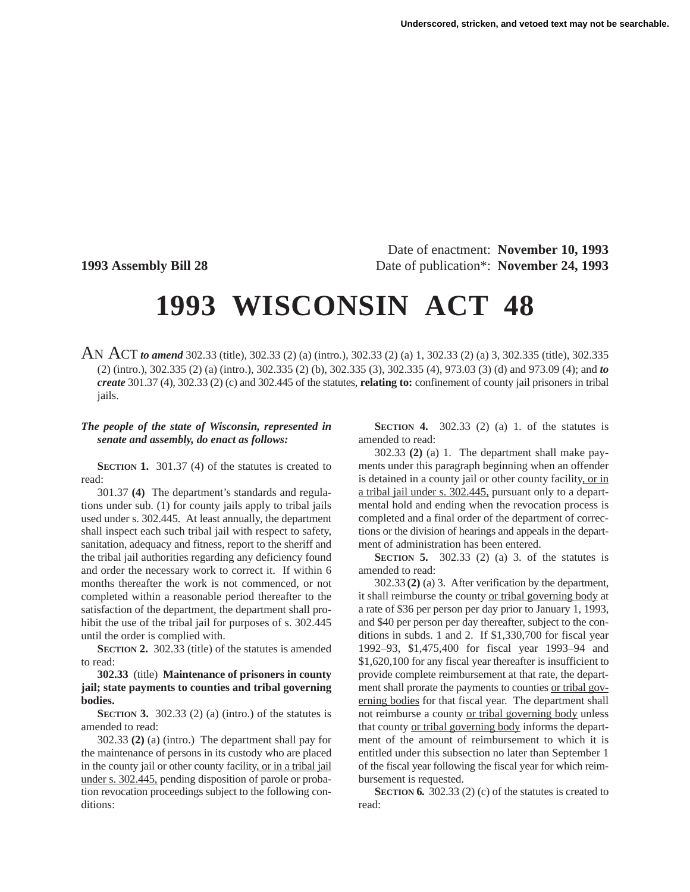Date of enactment: **November 10, 1993 1993 Assembly Bill 28** Date of publication\*: **November 24, 1993**

## **1993 WISCONSIN ACT 48**

AN ACT *to amend* 302.33 (title), 302.33 (2) (a) (intro.), 302.33 (2) (a) 1, 302.33 (2) (a) 3, 302.335 (title), 302.335 (2) (intro.), 302.335 (2) (a) (intro.), 302.335 (2) (b), 302.335 (3), 302.335 (4), 973.03 (3) (d) and 973.09 (4); and *to create* 301.37 (4), 302.33 (2) (c) and 302.445 of the statutes, **relating to:** confinement of county jail prisoners in tribal jails.

## *The people of the state of Wisconsin, represented in senate and assembly, do enact as follows:*

**SECTION 1.** 301.37 (4) of the statutes is created to read:

301.37 **(4)** The department's standards and regulations under sub. (1) for county jails apply to tribal jails used under s. 302.445. At least annually, the department shall inspect each such tribal jail with respect to safety, sanitation, adequacy and fitness, report to the sheriff and the tribal jail authorities regarding any deficiency found and order the necessary work to correct it. If within 6 months thereafter the work is not commenced, or not completed within a reasonable period thereafter to the satisfaction of the department, the department shall prohibit the use of the tribal jail for purposes of s. 302.445 until the order is complied with.

**SECTION 2.** 302.33 (title) of the statutes is amended to read:

**302.33** (title) **Maintenance of prisoners in county jail; state payments to counties and tribal governing bodies.**

**SECTION 3.** 302.33 (2) (a) (intro.) of the statutes is amended to read:

302.33 **(2)** (a) (intro.) The department shall pay for the maintenance of persons in its custody who are placed in the county jail or other county facility, or in a tribal jail under s. 302.445, pending disposition of parole or probation revocation proceedings subject to the following conditions:

**SECTION 4.** 302.33 (2) (a) 1. of the statutes is amended to read:

302.33 **(2)** (a) 1. The department shall make payments under this paragraph beginning when an offender is detained in a county jail or other county facility, or in a tribal jail under s. 302.445, pursuant only to a departmental hold and ending when the revocation process is completed and a final order of the department of corrections or the division of hearings and appeals in the department of administration has been entered.

**SECTION 5.** 302.33 (2) (a) 3. of the statutes is amended to read:

302.33 **(2)** (a) 3. After verification by the department, it shall reimburse the county or tribal governing body at a rate of \$36 per person per day prior to January 1, 1993, and \$40 per person per day thereafter, subject to the conditions in subds. 1 and 2. If \$1,330,700 for fiscal year 1992–93, \$1,475,400 for fiscal year 1993–94 and \$1,620,100 for any fiscal year thereafter is insufficient to provide complete reimbursement at that rate, the department shall prorate the payments to counties or tribal governing bodies for that fiscal year. The department shall not reimburse a county or tribal governing body unless that county or tribal governing body informs the department of the amount of reimbursement to which it is entitled under this subsection no later than September 1 of the fiscal year following the fiscal year for which reimbursement is requested.

**SECTION 6.** 302.33 (2) (c) of the statutes is created to read: